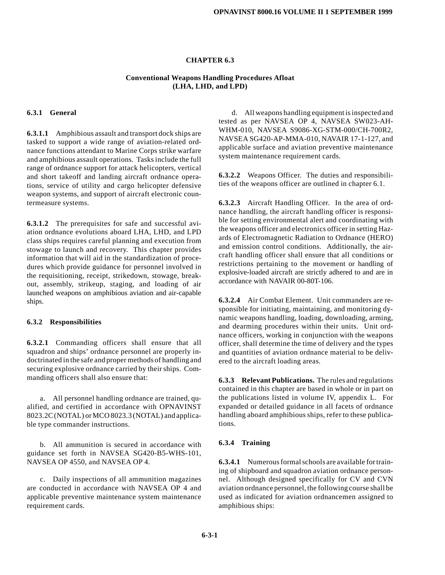### **CHAPTER 6.3**

### **Conventional Weapons Handling Procedures Afloat (LHA, LHD, and LPD)**

### **6.3.1 General**

**6.3.1.1** Amphibious assault and transport dock ships are tasked to support a wide range of aviation-related ordnance functions attendant to Marine Corps strike warfare and amphibious assault operations. Tasks include the full range of ordnance support for attack helicopters, vertical and short takeoff and landing aircraft ordnance operations, service of utility and cargo helicopter defensive weapon systems, and support of aircraft electronic countermeasure systems.

**6.3.1.2** The prerequisites for safe and successful aviation ordnance evolutions aboard LHA, LHD, and LPD class ships requires careful planning and execution from stowage to launch and recovery. This chapter provides information that will aid in the standardization of procedures which provide guidance for personnel involved in the requisitioning, receipt, strikedown, stowage, breakout, assembly, strikeup, staging, and loading of air launched weapons on amphibious aviation and air-capable ships.

#### **6.3.2 Responsibilities**

**6.3.2.1** Commanding officers shall ensure that all squadron and ships' ordnance personnel are properly indoctrinated in the safe and proper methodsof handling and securing explosive ordnance carried by their ships. Commanding officers shall also ensure that:

a. All personnel handling ordnance are trained, qualified, and certified in accordance with OPNAVINST 8023.2C (NOTAL) or MCO 8023.3 (NOTAL) and applicable type commander instructions.

b. All ammunition is secured in accordance with guidance set forth in NAVSEA SG420-B5-WHS-101, NAVSEA OP 4550, and NAVSEA OP 4.

c. Daily inspections of all ammunition magazines are conducted in accordance with NAVSEA OP 4 and applicable preventive maintenance system maintenance requirement cards.

d. All weapons handling equipment is inspected and tested as per NAVSEA OP 4, NAVSEA SW023-AH-WHM-010, NAVSEA S9086-XG-STM-000/CH-700R2, NAVSEA SG420-AP-MMA-010, NAVAIR 17-1-127, and applicable surface and aviation preventive maintenance system maintenance requirement cards.

**6.3.2.2** Weapons Officer. The duties and responsibilities of the weapons officer are outlined in chapter 6.1.

**6.3.2.3** Aircraft Handling Officer. In the area of ordnance handling, the aircraft handling officer is responsible for setting environmental alert and coordinating with the weapons officer and electronics officer in setting Hazards of Electromagnetic Radiation to Ordnance (HERO) and emission control conditions. Additionally, the aircraft handling officer shall ensure that all conditions or restrictions pertaining to the movement or handling of explosive-loaded aircraft are strictly adhered to and are in accordance with NAVAIR 00-80T-106.

**6.3.2.4** Air Combat Element. Unit commanders are responsible for initiating, maintaining, and monitoring dynamic weapons handling, loading, downloading, arming, and dearming procedures within their units. Unit ordnance officers, working in conjunction with the weapons officer, shall determine the time of delivery and the types and quantities of aviation ordnance material to be delivered to the aircraft loading areas.

**6.3.3 Relevant Publications.** The rules and regulations contained in this chapter are based in whole or in part on the publications listed in volume IV, appendix L. For expanded or detailed guidance in all facets of ordnance handling aboard amphibious ships, refer to these publications.

### **6.3.4 Training**

**6.3.4.1** Numerous formal schools are available for training of shipboard and squadron aviation ordnance personnel. Although designed specifically for CV and CVN aviation ordnance personnel, the following course shall be used as indicated for aviation ordnancemen assigned to amphibious ships: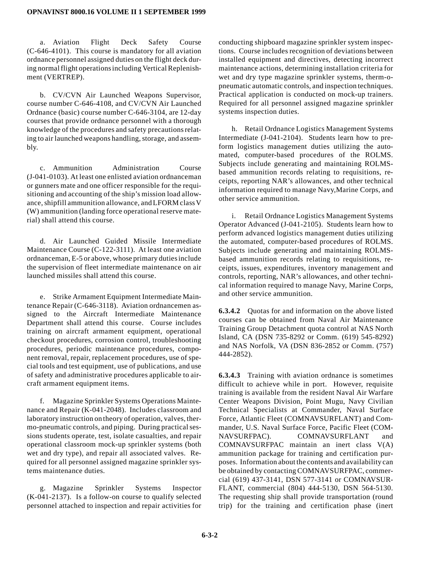### **OPNAVINST 8000.16 VOLUME II 1 SEPTEMBER 1999**

a. Aviation Flight Deck Safety Course (C-646-4101). This course is mandatory for all aviation ordnance personnel assigned duties on the flight deck during normal flight operations including Vertical Replenishment (VERTREP).

b. CV/CVN Air Launched Weapons Supervisor, course number C-646-4108, and CV/CVN Air Launched Ordnance (basic) course number C-646-3104, are 12-day courses that provide ordnance personnel with a thorough knowledge of the procedures and safety precautions relating to air launched weapons handling, storage, and assembly.

c. Ammunition Administration Course (J-041-0103). At least one enlisted aviation ordnanceman or gunners mate and one officer responsible for the requisitioning and accounting of the ship's mission load allowance, shipfill ammunition allowance, and LFORM classV (W) ammunition (landing force operational reserve material) shall attend this course.

d. Air Launched Guided Missile Intermediate Maintenance Course (C-122-3111). At least one aviation ordnanceman, E-5 or above, whose primary dutiesinclude the supervision of fleet intermediate maintenance on air launched missiles shall attend this course.

e. Strike Armament Equipment Intermediate Maintenance Repair (C-646-3118). Aviation ordnancemen assigned to the Aircraft Intermediate Maintenance Department shall attend this course. Course includes training on aircraft armament equipment, operational checkout procedures, corrosion control, troubleshooting procedures, periodic maintenance procedures, component removal, repair, replacement procedures, use of special tools and test equipment, use of publications, and use of safety and administrative procedures applicable to aircraft armament equipment items.

f. Magazine Sprinkler Systems Operations Maintenance and Repair (K-041-2048). Includes classroom and laboratory instruction on theory of operation, valves, thermo-pneumatic controls, and piping. During practical sessions students operate, test, isolate casualties, and repair operational classroom mock-up sprinkler systems (both wet and dry type), and repair all associated valves. Required for all personnel assigned magazine sprinkler systems maintenance duties.

g. Magazine Sprinkler Systems Inspector (K-041-2137). Is a follow-on course to qualify selected personnel attached to inspection and repair activities for conducting shipboard magazine sprinkler system inspections. Course includes recognition of deviations between installed equipment and directives, detecting incorrect maintenance actions, determining installation criteria for wet and dry type magazine sprinkler systems, therm-opneumatic automatic controls, and inspection techniques. Practical application is conducted on mock-up trainers. Required for all personnel assigned magazine sprinkler systems inspection duties.

h. Retail Ordnance Logistics Management Systems Intermediate (J-041-2104). Students learn how to preform logistics management duties utilizing the automated, computer-based procedures of the ROLMS. Subjects include generating and maintaining ROLMSbased ammunition records relating to requisitions, receipts, reporting NAR's allowances, and other technical information required to manage Navy,Marine Corps, and other service ammunition.

i. Retail Ordnance Logistics Management Systems Operator Advanced (J-041-2105). Students learn how to perform advanced logistics management duties utilizing the automated, computer-based procedures of ROLMS. Subjects include generating and maintaining ROLMSbased ammunition records relating to requisitions, receipts, issues, expenditures, inventory management and controls, reporting, NAR's allowances, and other technical information required to manage Navy, Marine Corps, and other service ammunition.

**6.3.4.2** Quotas for and information on the above listed courses can be obtained from Naval Air Maintenance Training Group Detachment quota control at NAS North Island, CA (DSN 735-8292 or Comm. (619) 545-8292) and NAS Norfolk, VA (DSN 836-2852 or Comm. (757) 444-2852).

**6.3.4.3** Training with aviation ordnance is sometimes difficult to achieve while in port. However, requisite training is available from the resident Naval Air Warfare Center Weapons Division, Point Mugu, Navy Civilian Technical Specialists at Commander, Naval Surface Force, Atlantic Fleet (COMNAVSURFLANT) and Commander, U.S. Naval Surface Force, Pacific Fleet (COM-NAVSURFPAC). COMNAVSURFLANT and COMNAVSURFPAC maintain an inert class V(A) ammunition package for training and certification purposes. Information about the contentsand availability can be obtained by contacting COMNAVSURFPAC, commercial (619) 437-3141, DSN 577-3141 or COMNAVSUR-FLANT, commercial (804) 444-5130, DSN 564-5130. The requesting ship shall provide transportation (round trip) for the training and certification phase (inert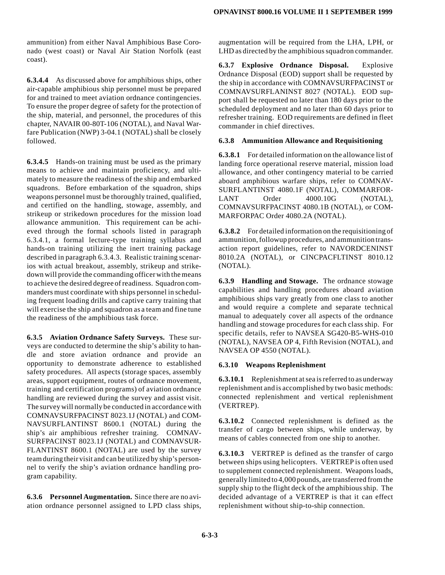ammunition) from either Naval Amphibious Base Coronado (west coast) or Naval Air Station Norfolk (east coast).

**6.3.4.4** As discussed above for amphibious ships, other air-capable amphibious ship personnel must be prepared for and trained to meet aviation ordnance contingencies. To ensure the proper degree of safety for the protection of the ship, material, and personnel, the procedures of this chapter, NAVAIR 00-80T-106 (NOTAL), and Naval Warfare Publication (NWP) 3-04.1 (NOTAL) shall be closely followed.

**6.3.4.5** Hands-on training must be used as the primary means to achieve and maintain proficiency, and ultimately to measure the readiness of the ship and embarked squadrons. Before embarkation of the squadron, ships weapons personnel must be thoroughly trained, qualified, and certified on the handling, stowage, assembly, and strikeup or strikedown procedures for the mission load allowance ammunition. This requirement can be achieved through the formal schools listed in paragraph 6.3.4.1, a formal lecture-type training syllabus and hands-on training utilizing the inert training package described in paragraph 6.3.4.3. Realistic training scenarios with actual breakout, assembly, strikeup and strikedown will provide the commanding officer with the means to achieve the desired degree of readiness. Squadron commanders must coordinate with ships personnel in scheduling frequent loading drills and captive carry training that will exercise the ship and squadron as a team and fine tune the readiness of the amphibious task force.

**6.3.5 Aviation Ordnance Safety Surveys.** These surveys are conducted to determine the ship's ability to handle and store aviation ordnance and provide an opportunity to demonstrate adherence to established safety procedures. All aspects (storage spaces, assembly areas, support equipment, routes of ordnance movement, training and certification programs) of aviation ordnance handling are reviewed during the survey and assist visit. The survey will normally be conducted in accordance with COMNAVSURFPACINST 8023.1J (NOTAL) and COM-NAVSURFLANTINST 8600.1 (NOTAL) during the ship's air amphibious refresher training. COMNAV-SURFPACINST 8023.1J (NOTAL) and COMNAVSUR-FLANTINST 8600.1 (NOTAL) are used by the survey team during their visit and can be utilized by ship's personnel to verify the ship's aviation ordnance handling program capability.

**6.3.6 Personnel Augmentation.** Since there are no aviation ordnance personnel assigned to LPD class ships, augmentation will be required from the LHA, LPH, or LHD as directed by the amphibious squadron commander.

**6.3.7 Explosive Ordnance Disposal.** Explosive Ordnance Disposal (EOD) support shall be requested by the ship in accordance with COMNAVSURFPACINST or COMNAVSURFLANINST 8027 (NOTAL). EOD support shall be requested no later than 180 days prior to the scheduled deployment and no later than 60 days prior to refresher training. EOD requirements are defined in fleet commander in chief directives.

## **6.3.8 Ammunition Allowance and Requisitioning**

**6.3.8.1** For detailed information on the allowance list of landing force operational reserve material, mission load allowance, and other contingency material to be carried aboard amphibious warfare ships, refer to COMNAV-SURFLANTINST 4080.1F (NOTAL), COMMARFOR-LANT Order 4000.10G (NOTAL), COMNAVSURFPACINST 4080.1B (NOTAL), or COM-MARFORPAC Order 4080.2A (NOTAL).

**6.3.8.2** For detailed information on the requisitioning of ammunition, followup procedures, and ammunition transaction report guidelines, refer to NAVORDCENINST 8010.2A (NOTAL), or CINCPACFLTINST 8010.12 (NOTAL).

**6.3.9 Handling and Stowage.** The ordnance stowage capabilities and handling procedures aboard aviation amphibious ships vary greatly from one class to another and would require a complete and separate technical manual to adequately cover all aspects of the ordnance handling and stowage procedures for each class ship. For specific details, refer to NAVSEA SG420-B5-WHS-010 (NOTAL), NAVSEA OP 4, Fifth Revision (NOTAL), and NAVSEA OP 4550 (NOTAL).

### **6.3.10 Weapons Replenishment**

**6.3.10.1** Replenishment at sea is referred to asunderway replenishment and is accomplished by two basic methods: connected replenishment and vertical replenishment (VERTREP).

**6.3.10.2** Connected replenishment is defined as the transfer of cargo between ships, while underway, by means of cables connected from one ship to another.

**6.3.10.3** VERTREP is defined as the transfer of cargo between ships using helicopters. VERTREP is often used to supplement connected replenishment. Weapons loads, generally limited to 4,000 pounds, are transferred from the supply ship to the flight deck of the amphibious ship. The decided advantage of a VERTREP is that it can effect replenishment without ship-to-ship connection.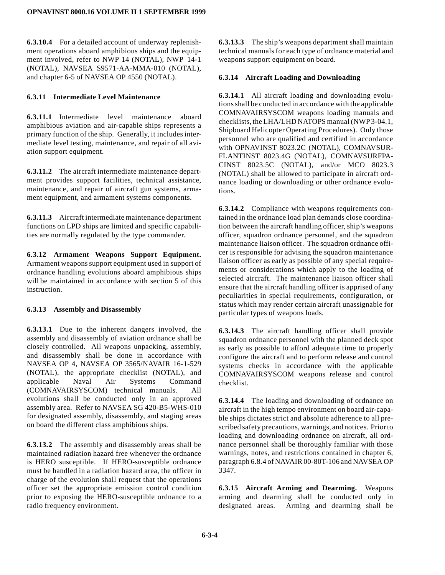**6.3.10.4** For a detailed account of underway replenishment operations aboard amphibious ships and the equipment involved, refer to NWP 14 (NOTAL), NWP 14-1 (NOTAL), NAVSEA S9571-AA-MMA-010 (NOTAL), and chapter 6-5 of NAVSEA OP 4550 (NOTAL).

### **6.3.11 Intermediate Level Maintenance**

**6.3.11.1** Intermediate level maintenance aboard amphibious aviation and air-capable ships represents a primary function of the ship. Generally, it includes intermediate level testing, maintenance, and repair of all aviation support equipment.

**6.3.11.2** The aircraft intermediate maintenance department provides support facilities, technical assistance, maintenance, and repair of aircraft gun systems, armament equipment, and armament systems components.

**6.3.11.3** Aircraft intermediate maintenance department functions on LPD ships are limited and specific capabilities are normally regulated by the type commander.

**6.3.12 Armament Weapons Support Equipment.** Armament weapons support equipment used in support of ordnance handling evolutions aboard amphibious ships will be maintained in accordance with section 5 of this instruction.

### **6.3.13 Assembly and Disassembly**

**6.3.13.1** Due to the inherent dangers involved, the assembly and disassembly of aviation ordnance shall be closely controlled. All weapons unpacking, assembly, and disassembly shall be done in accordance with NAVSEA OP 4, NAVSEA OP 3565/NAVAIR 16-1-529 (NOTAL), the appropriate checklist (NOTAL), and applicable Naval Air Systems Command (COMNAVAIRSYSCOM) technical manuals. All evolutions shall be conducted only in an approved assembly area. Refer to NAVSEA SG 420-B5-WHS-010 for designated assembly, disassembly, and staging areas on board the different class amphibious ships.

**6.3.13.2** The assembly and disassembly areas shall be maintained radiation hazard free whenever the ordnance is HERO susceptible. If HERO-susceptible ordnance must be handled in a radiation hazard area, the officer in charge of the evolution shall request that the operations officer set the appropriate emission control condition prior to exposing the HERO-susceptible ordnance to a radio frequency environment.

**6.3.13.3** The ship's weapons department shall maintain technical manuals for each type of ordnance material and weapons support equipment on board.

### **6.3.14 Aircraft Loading and Downloading**

**6.3.14.1** All aircraft loading and downloading evolutions shall be conducted in accordance with the applicable COMNAVAIRSYSCOM weapons loading manuals and checklists, the LHA/LHD NATOPS manual (NWP 3-04.1, Shipboard Helicopter Operating Procedures). Only those personnel who are qualified and certified in accordance with OPNAVINST 8023.2C (NOTAL), COMNAVSUR-FLANTINST 8023.4G (NOTAL), COMNAVSURFPA-CINST 8023.5C (NOTAL), and/or MCO 8023.3 (NOTAL) shall be allowed to participate in aircraft ordnance loading or downloading or other ordnance evolutions.

**6.3.14.2** Compliance with weapons requirements contained in the ordnance load plan demands close coordination between the aircraft handling officer, ship's weapons officer, squadron ordnance personnel, and the squadron maintenance liaison officer. The squadron ordnance officer is responsible for advising the squadron maintenance liaison officer as early as possible of any special requirements or considerations which apply to the loading of selected aircraft. The maintenance liaison officer shall ensure that the aircraft handling officer is apprised of any peculiarities in special requirements, configuration, or status which may render certain aircraft unassignable for particular types of weapons loads.

**6.3.14.3** The aircraft handling officer shall provide squadron ordnance personnel with the planned deck spot as early as possible to afford adequate time to properly configure the aircraft and to perform release and control systems checks in accordance with the applicable COMNAVAIRSYSCOM weapons release and control checklist.

**6.3.14.4** The loading and downloading of ordnance on aircraft in the high tempo environment on board air-capable ships dictates strict and absolute adherence to all prescribed safety precautions, warnings, and notices. Prior to loading and downloading ordnance on aircraft, all ordnance personnel shall be thoroughly familiar with those warnings, notes, and restrictions contained in chapter 6, paragraph 6.8.4 of NAVAIR 00-80T-106 and NAVSEA OP 3347.

**6.3.15 Aircraft Arming and Dearming.** Weapons arming and dearming shall be conducted only in designated areas. Arming and dearming shall be